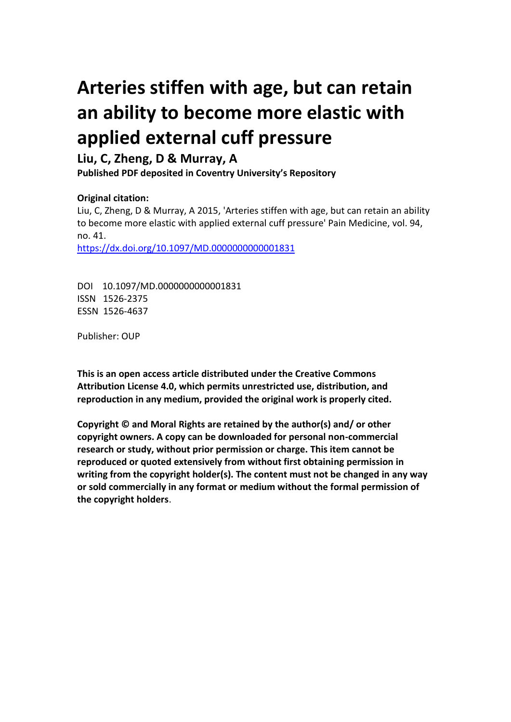# **Arteries stiffen with age, but can retain an ability to become more elastic with applied external cuff pressure**

## **Liu, C, Zheng, D & Murray, A**

**Published PDF deposited in Coventry University's Repository** 

### **Original citation:**

Liu, C, Zheng, D & Murray, A 2015, 'Arteries stiffen with age, but can retain an ability to become more elastic with applied external cuff pressure' Pain Medicine, vol. 94, no. 41.

https://dx.doi.org/10.1097/MD.0000000000001831

DOI 10.1097/MD.0000000000001831 ISSN 1526-2375 ESSN 1526-4637

Publisher: OUP

**This is an open access article distributed under the Creative Commons Attribution License 4.0, which permits unrestricted use, distribution, and reproduction in any medium, provided the original work is properly cited.**

**Copyright © and Moral Rights are retained by the author(s) and/ or other copyright owners. A copy can be downloaded for personal non-commercial research or study, without prior permission or charge. This item cannot be reproduced or quoted extensively from without first obtaining permission in writing from the copyright holder(s). The content must not be changed in any way or sold commercially in any format or medium without the formal permission of the copyright holders**.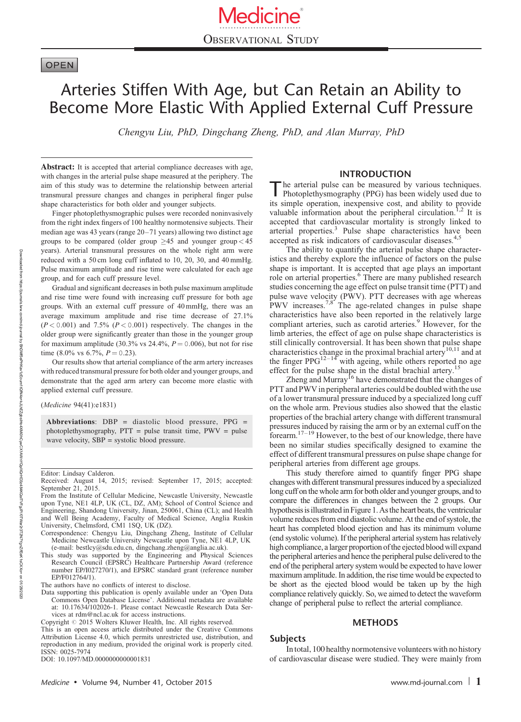### **OPEN**

# Arteries Stiffen With Age, but Can Retain an Ability to Become More Elastic With Applied External Cuff Pressure

Chengyu Liu, PhD, Dingchang Zheng, PhD, and Alan Murray, PhD

Abstract: It is accepted that arterial compliance decreases with age, with changes in the arterial pulse shape measured at the periphery. The aim of this study was to determine the relationship between arterial transmural pressure changes and changes in peripheral finger pulse shape characteristics for both older and younger subjects.

Finger photoplethysmographic pulses were recorded noninvasively from the right index fingers of 100 healthy normotensive subjects. Their median age was 43 years (range 20–71 years) allowing two distinct age groups to be compared (older group  $\geq$  45 and younger group < 45 years). Arterial transmural pressures on the whole right arm were reduced with a 50 cm long cuff inflated to 10, 20, 30, and 40 mmHg. Pulse maximum amplitude and rise time were calculated for each age group, and for each cuff pressure level.

Gradual and significant decreases in both pulse maximum amplitude and rise time were found with increasing cuff pressure for both age groups. With an external cuff pressure of 40 mmHg, there was an average maximum amplitude and rise time decrease of 27.1%  $(P < 0.001)$  and 7.5%  $(P < 0.001)$  respectively. The changes in the older group were significantly greater than those in the younger group for maximum amplitude (30.3% vs 24.4%,  $P = 0.006$ ), but not for rise time (8.0% vs 6.7%,  $P = 0.23$ ).

Our results show that arterial compliance of the arm artery increases with reduced transmural pressure for both older and younger groups, and demonstrate that the aged arm artery can become more elastic with applied external cuff pressure.

(Medicine 94(41):e1831)

Abbreviations:  $DBP =$  diastolic blood pressure,  $PPG =$ photoplethysmography, PTT = pulse transit time, PWV = pulse wave velocity, SBP = systolic blood pressure.

Editor: Lindsay Calderon.

This study was supported by the Engineering and Physical Sciences Research Council (EPSRC) Healthcare Partnership Award (reference number EP/I027270/1), and EPSRC standard grant (reference number EP/F012764/1).

The authors have no conflicts of interest to disclose.

Data supporting this publication is openly available under an 'Open Data Commons Open Database License'. Additional metadata are available at: 10.17634/102026-1. Please contact Newcastle Research Data Services at [rdm@ncl.ac.uk](mailto:rdm@ncl.ac.uk) for access instructions.

Copyright @ 2015 Wolters Kluwer Health, Inc. All rights reserved. This is an open access article distributed under the Creative Commons Attribution License 4.0, which permits unrestricted use, distribution, and reproduction in any medium, provided the original work is properly cited. ISSN: 0025-7974

DOI: [10.1097/MD.0000000000001831](http://dx.doi.org/10.1097/MD.0000000000001831)

#### INTRODUCTION

The arterial pulse can be measured by various techniques.<br>Photoplethysmography (PPG) has been widely used due to its simple operation, inexpensive cost, and ability to provide valuable information about the peripheral circulation.<sup>1,2</sup> It is accepted that cardiovascular mortality is strongly linked to arterial properties.<sup>3</sup> Pulse shape characteristics have been accepted as risk indicators of cardiovascular diseases.<sup>4,5</sup>

The ability to quantify the arterial pulse shape characteristics and thereby explore the influence of factors on the pulse shape is important. It is accepted that age plays an important role on arterial properties.<sup>6</sup> There are many published research studies concerning the age effect on pulse transit time (PTT) and pulse wave velocity (PWV). PTT decreases with age whereas PWV increases.<sup>7,8</sup> The age-related changes in pulse shape characteristics have also been reported in the relatively large compliant arteries, such as carotid arteries.<sup>9</sup> However, for the limb arteries, the effect of age on pulse shape characteristics is still clinically controversial. It has been shown that pulse shape characteristics change in the proximal brachial artery<sup>10,11</sup> and at the finger PPG<sup>12–14</sup> with ageing, while others reported no age effect for the pulse shape in the distal brachial artery.<sup>15</sup>

Zheng and Murray<sup>16</sup> have demonstrated that the changes of PTT and PWV in peripheral arteries could be doubled with the use of a lower transmural pressure induced by a specialized long cuff on the whole arm. Previous studies also showed that the elastic properties of the brachial artery change with different transmural pressures induced by raising the arm or by an external cuff on the forearm. $17-19$  However, to the best of our knowledge, there have been no similar studies specifically designed to examine the effect of different transmural pressures on pulse shape change for peripheral arteries from different age groups.

This study therefore aimed to quantify finger PPG shape changes with different transmural pressures induced by a specialized long cuff on the whole arm for both older and younger groups, and to compare the differences in changes between the 2 groups. Our hypothesis is illustrated in Figure 1. As the heart beats, the ventricular volume reduces from end diastolic volume. At the end of systole, the heart has completed blood ejection and has its minimum volume (end systolic volume). If the peripheral arterial system has relatively high compliance, a larger proportion of the ejected blood will expand the peripheral arteries and hence the peripheral pulse delivered to the end of the peripheral artery system would be expected to have lower maximum amplitude. In addition, the rise time would be expected to be short as the ejected blood would be taken up by the high compliance relatively quickly. So, we aimed to detect the waveform change of peripheral pulse to reflect the arterial compliance.

#### METHODS

#### Subjects

In total, 100 healthy normotensive volunteers with no history of cardiovascular disease were studied. They were mainly from

Downloaded

Received: August 14, 2015; revised: September 17, 2015; accepted: September 21, 2015.

From the Institute of Cellular Medicine, Newcastle University, Newcastle upon Tyne, NE1 4LP, UK (CL, DZ, AM); School of Control Science and Engineering, Shandong University, Jinan, 250061, China (CL); and Health and Well Being Academy, Faculty of Medical Science, Anglia Ruskin University, Chelmsford, CM1 1SQ, UK (DZ).

Correspondence: Chengyu Liu, Dingchang Zheng, Institute of Cellular Medicine Newcastle University Newcastle upon Tyne, NE1 4LP, UK (e-mail: [bestlcy@sdu.edu.cn,](mailto:bestlcy@sdu.edu.cn) [dingchang.zheng@anglia.ac.uk](mailto:dingchang.zheng@anglia.ac.uk)).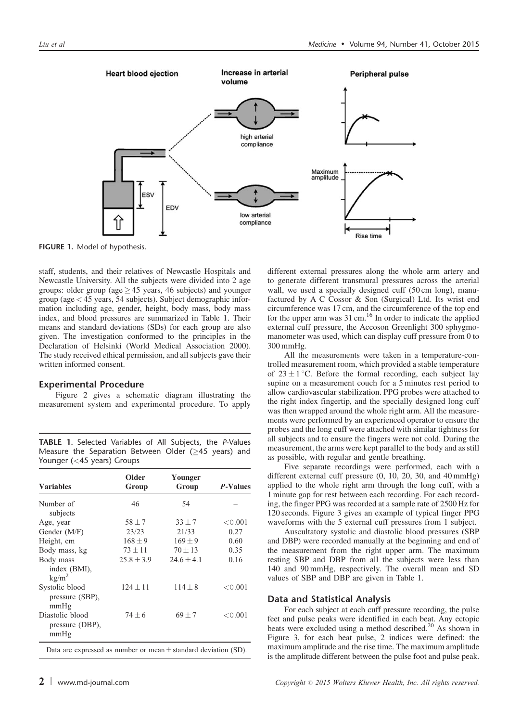

FIGURE 1. Model of hypothesis.

staff, students, and their relatives of Newcastle Hospitals and Newcastle University. All the subjects were divided into 2 age groups: older group (age  $\geq$  45 years, 46 subjects) and younger group (age< 45 years, 54 subjects). Subject demographic information including age, gender, height, body mass, body mass index, and blood pressures are summarized in Table 1. Their means and standard deviations (SDs) for each group are also given. The investigation conformed to the principles in the Declaration of Helsinki (World Medical Association 2000). The study received ethical permission, and all subjects gave their written informed consent.

#### Experimental Procedure

Figure 2 gives a schematic diagram illustrating the measurement system and experimental procedure. To apply

TABLE 1. Selected Variables of All Subjects, the P-Values Measure the Separation Between Older ( $\geq$ 45 years) and Younger (<45 years) Groups

| Older<br>Group | Younger<br>Group | <i>P</i> -Values |  |
|----------------|------------------|------------------|--|
| 46             | 54               |                  |  |
| $58 + 7$       | $33 + 7$         | ${<}0.001$       |  |
| 23/23          | 21/33            | 0.27             |  |
| $168 \pm 9$    | $169 \pm 9$      | 0.60             |  |
| $73 \pm 11$    | $70 \pm 13$      | 0.35             |  |
| $25.8 \pm 3.9$ | $24.6 \pm 4.1$   | 0.16             |  |
| $124 + 11$     | $114 + 8$        | ${<}0.001$       |  |
| $74 + 6$       | $69 \pm 7$       | ${<}0.001$       |  |
|                |                  |                  |  |

Data are expressed as number or mean  $\pm$  standard deviation (SD).

different external pressures along the whole arm artery and to generate different transmural pressures across the arterial wall, we used a specially designed cuff (50 cm long), manufactured by A C Cossor & Son (Surgical) Ltd. Its wrist end circumference was 17 cm, and the circumference of the top end for the upper arm was  $31 \text{ cm}$ ,  $^{16}$  In order to indicate the applied external cuff pressure, the Accoson Greenlight 300 sphygmomanometer was used, which can display cuff pressure from 0 to 300 mmHg.

All the measurements were taken in a temperature-controlled measurement room, which provided a stable temperature of  $23 \pm 1$  °C. Before the formal recording, each subject lay supine on a measurement couch for a 5 minutes rest period to allow cardiovascular stabilization. PPG probes were attached to the right index fingertip, and the specially designed long cuff was then wrapped around the whole right arm. All the measurements were performed by an experienced operator to ensure the probes and the long cuff were attached with similar tightness for all subjects and to ensure the fingers were not cold. During the measurement, the arms were kept parallel to the body and as still as possible, with regular and gentle breathing.

Five separate recordings were performed, each with a different external cuff pressure (0, 10, 20, 30, and 40 mmHg) applied to the whole right arm through the long cuff, with a 1 minute gap for rest between each recording. For each recording, the finger PPG was recorded at a sample rate of 2500 Hz for 120 seconds. Figure 3 gives an example of typical finger PPG waveforms with the 5 external cuff pressures from 1 subject.

Auscultatory systolic and diastolic blood pressures (SBP and DBP) were recorded manually at the beginning and end of the measurement from the right upper arm. The maximum resting SBP and DBP from all the subjects were less than 140 and 90 mmHg, respectively. The overall mean and SD values of SBP and DBP are given in Table 1.

#### Data and Statistical Analysis

For each subject at each cuff pressure recording, the pulse feet and pulse peaks were identified in each beat. Any ectopic beats were excluded using a method described.<sup>20</sup> As shown in Figure 3, for each beat pulse, 2 indices were defined: the maximum amplitude and the rise time. The maximum amplitude is the amplitude different between the pulse foot and pulse peak.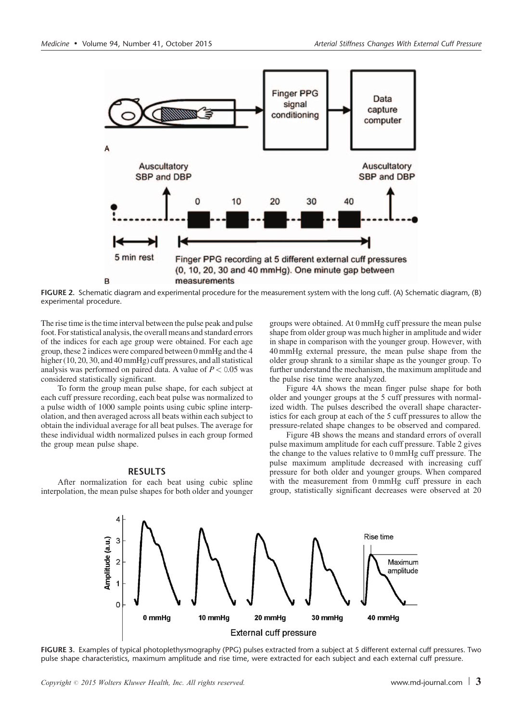

FIGURE 2. Schematic diagram and experimental procedure for the measurement system with the long cuff. (A) Schematic diagram, (B) experimental procedure.

The rise time is the time interval between the pulse peak and pulse foot. For statistical analysis, the overall means and standard errors of the indices for each age group were obtained. For each age group, these 2 indices were compared between 0 mmHg and the 4 higher (10, 20, 30, and 40 mmHg) cuff pressures, and all statistical analysis was performed on paired data. A value of  $P < 0.05$  was considered statistically significant.

To form the group mean pulse shape, for each subject at each cuff pressure recording, each beat pulse was normalized to a pulse width of 1000 sample points using cubic spline interpolation, and then averaged across all beats within each subject to obtain the individual average for all beat pulses. The average for these individual width normalized pulses in each group formed the group mean pulse shape.

#### RESULTS

After normalization for each beat using cubic spline interpolation, the mean pulse shapes for both older and younger groups were obtained. At 0 mmHg cuff pressure the mean pulse shape from older group was much higher in amplitude and wider in shape in comparison with the younger group. However, with 40 mmHg external pressure, the mean pulse shape from the older group shrank to a similar shape as the younger group. To further understand the mechanism, the maximum amplitude and the pulse rise time were analyzed.

Figure 4A shows the mean finger pulse shape for both older and younger groups at the 5 cuff pressures with normalized width. The pulses described the overall shape characteristics for each group at each of the 5 cuff pressures to allow the pressure-related shape changes to be observed and compared.

Figure 4B shows the means and standard errors of overall pulse maximum amplitude for each cuff pressure. Table 2 gives the change to the values relative to 0 mmHg cuff pressure. The pulse maximum amplitude decreased with increasing cuff pressure for both older and younger groups. When compared with the measurement from 0 mmHg cuff pressure in each group, statistically significant decreases were observed at 20



FIGURE 3. Examples of typical photoplethysmography (PPG) pulses extracted from a subject at 5 different external cuff pressures. Two pulse shape characteristics, maximum amplitude and rise time, were extracted for each subject and each external cuff pressure.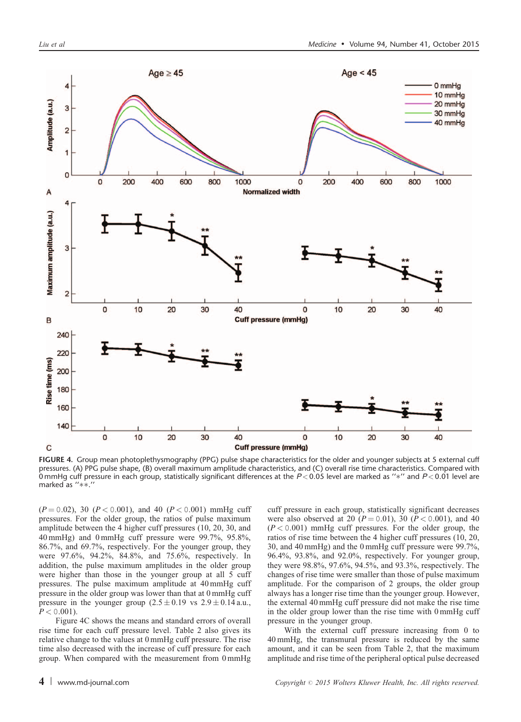

FIGURE 4. Group mean photoplethysmography (PPG) pulse shape characteristics for the older and younger subjects at 5 external cuff pressures. (A) PPG pulse shape, (B) overall maximum amplitude characteristics, and (C) overall rise time characteristics. Compared with 0 mmHg cuff pressure in each group, statistically significant differences at the  $P < 0.05$  level are marked as " $*$ " and  $P < 0.01$  level are marked as "\*\*.'

 $(P = 0.02)$ , 30  $(P < 0.001)$ , and 40  $(P < 0.001)$  mmHg cuff pressures. For the older group, the ratios of pulse maximum amplitude between the 4 higher cuff pressures (10, 20, 30, and 40 mmHg) and 0 mmHg cuff pressure were 99.7%, 95.8%, 86.7%, and 69.7%, respectively. For the younger group, they were 97.6%, 94.2%, 84.8%, and 75.6%, respectively. In addition, the pulse maximum amplitudes in the older group were higher than those in the younger group at all 5 cuff pressures. The pulse maximum amplitude at 40 mmHg cuff pressure in the older group was lower than that at 0 mmHg cuff pressure in the younger group  $(2.5 \pm 0.19 \text{ vs } 2.9 \pm 0.14 \text{ a.u.})$  $P < 0.001$ ).

Figure 4C shows the means and standard errors of overall rise time for each cuff pressure level. Table 2 also gives its relative change to the values at 0 mmHg cuff pressure. The rise time also decreased with the increase of cuff pressure for each group. When compared with the measurement from 0 mmHg cuff pressure in each group, statistically significant decreases were also observed at 20 ( $P = 0.01$ ), 30 ( $P < 0.001$ ), and 40  $(P < 0.001)$  mmHg cuff pressures. For the older group, the ratios of rise time between the 4 higher cuff pressures (10, 20, 30, and 40 mmHg) and the 0 mmHg cuff pressure were 99.7%, 96.4%, 93.8%, and 92.0%, respectively. For younger group, they were 98.8%, 97.6%, 94.5%, and 93.3%, respectively. The changes of rise time were smaller than those of pulse maximum amplitude. For the comparison of 2 groups, the older group always has a longer rise time than the younger group. However, the external 40 mmHg cuff pressure did not make the rise time in the older group lower than the rise time with 0 mmHg cuff pressure in the younger group.

With the external cuff pressure increasing from 0 to 40 mmHg, the transmural pressure is reduced by the same amount, and it can be seen from Table 2, that the maximum amplitude and rise time of the peripheral optical pulse decreased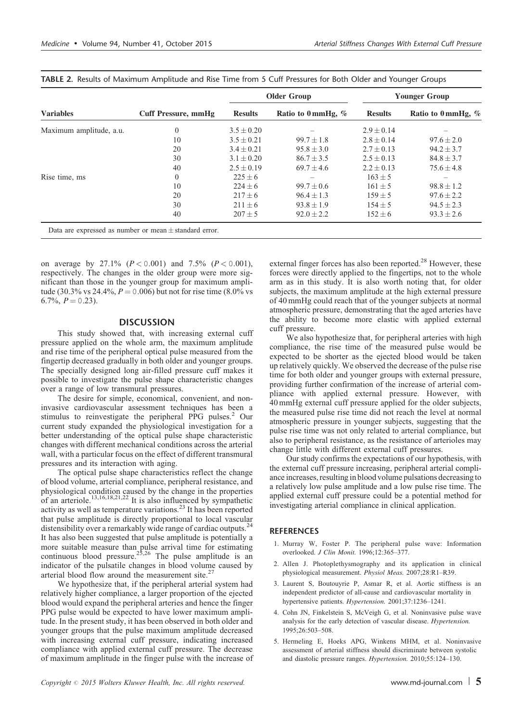| <b>Variables</b>        | Cuff Pressure, mmHg | <b>Older Group</b> |                               | <b>Younger Group</b> |                               |
|-------------------------|---------------------|--------------------|-------------------------------|----------------------|-------------------------------|
|                         |                     | <b>Results</b>     | Ratio to $0 \text{ mmHg}$ , % | <b>Results</b>       | Ratio to $0 \text{ mmHg}$ , % |
| Maximum amplitude, a.u. | 0                   | $3.5 \pm 0.20$     |                               | $2.9 \pm 0.14$       |                               |
|                         | 10                  | $3.5 \pm 0.21$     | $99.7 + 1.8$                  | $2.8 \pm 0.14$       | $97.6 \pm 2.0$                |
|                         | 20                  | $3.4 \pm 0.21$     | $95.8 \pm 3.0$                | $2.7 \pm 0.13$       | $94.2 \pm 3.7$                |
|                         | 30                  | $3.1 \pm 0.20$     | $86.7 \pm 3.5$                | $2.5 \pm 0.13$       | $84.8 \pm 3.7$                |
|                         | 40                  | $2.5 \pm 0.19$     | $69.7 \pm 4.6$                | $2.2 \pm 0.13$       | $75.6 \pm 4.8$                |
| Rise time, ms           | $\theta$            | $225 \pm 6$        |                               | $163 \pm 5$          |                               |
|                         | 10                  | $224 \pm 6$        | $99.7 \pm 0.6$                | $161 \pm 5$          | $98.8 \pm 1.2$                |
|                         | 20                  | $217 \pm 6$        | $96.4 \pm 1.3$                | $159 \pm 5$          | $97.6 \pm 2.2$                |
|                         | 30                  | $211 \pm 6$        | $93.8 \pm 1.9$                | $154 \pm 5$          | $94.5 \pm 2.3$                |
|                         | 40                  | $207 \pm 5$        | $92.0 \pm 2.2$                | $152 \pm 6$          | $93.3 \pm 2.6$                |

TABLE 2. Results of Maximum Amplitude and Rise Time from 5 Cuff Pressures for Both Older and Younger Groups

on average by 27.1%  $(P < 0.001)$  and 7.5%  $(P < 0.001)$ , respectively. The changes in the older group were more significant than those in the younger group for maximum amplitude (30.3% vs 24.4%,  $P = 0.006$ ) but not for rise time (8.0% vs 6.7%,  $P = 0.23$ ).

#### **DISCUSSION**

This study showed that, with increasing external cuff pressure applied on the whole arm, the maximum amplitude and rise time of the peripheral optical pulse measured from the fingertip decreased gradually in both older and younger groups. The specially designed long air-filled pressure cuff makes it possible to investigate the pulse shape characteristic changes over a range of low transmural pressures.

The desire for simple, economical, convenient, and noninvasive cardiovascular assessment techniques has been a stimulus to reinvestigate the peripheral PPG pulses. $2$  Our current study expanded the physiological investigation for a better understanding of the optical pulse shape characteristic changes with different mechanical conditions across the arterial wall, with a particular focus on the effect of different transmural pressures and its interaction with aging.

The optical pulse shape characteristics reflect the change of blood volume, arterial compliance, peripheral resistance, and physiological condition caused by the change in the properties of an arteriole. $13,16,18,21,22$  It is also influenced by sympathetic activity as well as temperature variations.<sup>23</sup> It has been reported that pulse amplitude is directly proportional to local vascular distensibility over a remarkably wide range of cardiac outputs.<sup>24</sup> It has also been suggested that pulse amplitude is potentially a more suitable measure than pulse arrival time for estimating continuous blood pressure.<sup>25,26</sup> The pulse amplitude is an indicator of the pulsatile changes in blood volume caused by arterial blood flow around the measurement site. $<sup>2</sup>$ </sup>

We hypothesize that, if the peripheral arterial system had relatively higher compliance, a larger proportion of the ejected blood would expand the peripheral arteries and hence the finger PPG pulse would be expected to have lower maximum amplitude. In the present study, it has been observed in both older and younger groups that the pulse maximum amplitude decreased with increasing external cuff pressure, indicating increased compliance with applied external cuff pressure. The decrease of maximum amplitude in the finger pulse with the increase of external finger forces has also been reported.<sup>28</sup> However, these forces were directly applied to the fingertips, not to the whole arm as in this study. It is also worth noting that, for older subjects, the maximum amplitude at the high external pressure of 40 mmHg could reach that of the younger subjects at normal atmospheric pressure, demonstrating that the aged arteries have the ability to become more elastic with applied external cuff pressure.

We also hypothesize that, for peripheral arteries with high compliance, the rise time of the measured pulse would be expected to be shorter as the ejected blood would be taken up relatively quickly. We observed the decrease of the pulse rise time for both older and younger groups with external pressure, providing further confirmation of the increase of arterial compliance with applied external pressure. However, with 40 mmHg external cuff pressure applied for the older subjects, the measured pulse rise time did not reach the level at normal atmospheric pressure in younger subjects, suggesting that the pulse rise time was not only related to arterial compliance, but also to peripheral resistance, as the resistance of arterioles may change little with different external cuff pressures.

Our study confirms the expectations of our hypothesis, with the external cuff pressure increasing, peripheral arterial compliance increases, resulting in blood volume pulsations decreasing to a relatively low pulse amplitude and a low pulse rise time. The applied external cuff pressure could be a potential method for investigating arterial compliance in clinical application.

#### **REFERENCES**

- 1. Murray W, Foster P. The peripheral pulse wave: Information overlooked. J Clin Monit. 1996;12:365–377.
- 2. Allen J. Photoplethysmography and its application in clinical physiological measurement. Physiol Meas. 2007;28:R1–R39.
- 3. Laurent S, Boutouyrie P, Asmar R, et al. Aortic stiffness is an independent predictor of all-cause and cardiovascular mortality in hypertensive patients. Hypertension. 2001;37:1236–1241.
- 4. Cohn JN, Finkelstein S, McVeigh G, et al. Noninvasive pulse wave analysis for the early detection of vascular disease. Hypertension. 1995;26:503–508.
- 5. Hermeling E, Hoeks APG, Winkens MHM, et al. Noninvasive assessment of arterial stiffness should discriminate between systolic and diastolic pressure ranges. Hypertension. 2010;55:124–130.